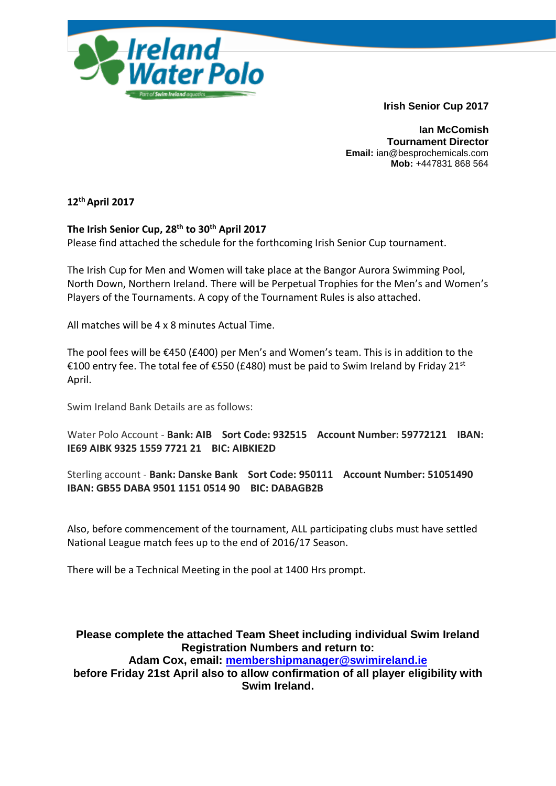

**Irish Senior Cup 2017**

**Ian McComish Tournament Director Email:** ian@besprochemicals.com **Mob:** +447831 868 564

**12thApril 2017**

**The Irish Senior Cup, 28th to 30th April 2017** Please find attached the schedule for the forthcoming Irish Senior Cup tournament.

The Irish Cup for Men and Women will take place at the Bangor Aurora Swimming Pool, North Down, Northern Ireland. There will be Perpetual Trophies for the Men's and Women's Players of the Tournaments. A copy of the Tournament Rules is also attached.

All matches will be 4 x 8 minutes Actual Time.

The pool fees will be  $E$ 450 (£400) per Men's and Women's team. This is in addition to the €100 entry fee. The total fee of €550 (£480) must be paid to Swim Ireland by Friday 21st April.

Swim Ireland Bank Details are as follows:

Water Polo Account - **Bank: AIB Sort Code: 932515 Account Number: 59772121 IBAN: IE69 AIBK 9325 1559 7721 21 BIC: AIBKIE2D**

Sterling account - **Bank: Danske Bank Sort Code: 950111 Account Number: 51051490 IBAN: GB55 DABA 9501 1151 0514 90 BIC: DABAGB2B**

Also, before commencement of the tournament, ALL participating clubs must have settled National League match fees up to the end of 2016/17 Season.

There will be a Technical Meeting in the pool at 1400 Hrs prompt.

**Please complete the attached Team Sheet including individual Swim Ireland Registration Numbers and return to: Adam Cox, email: [membershipmanager@swimireland.ie](mailto:membershipmanager@swimireland.ie)**

**before Friday 21st April also to allow confirmation of all player eligibility with Swim Ireland.**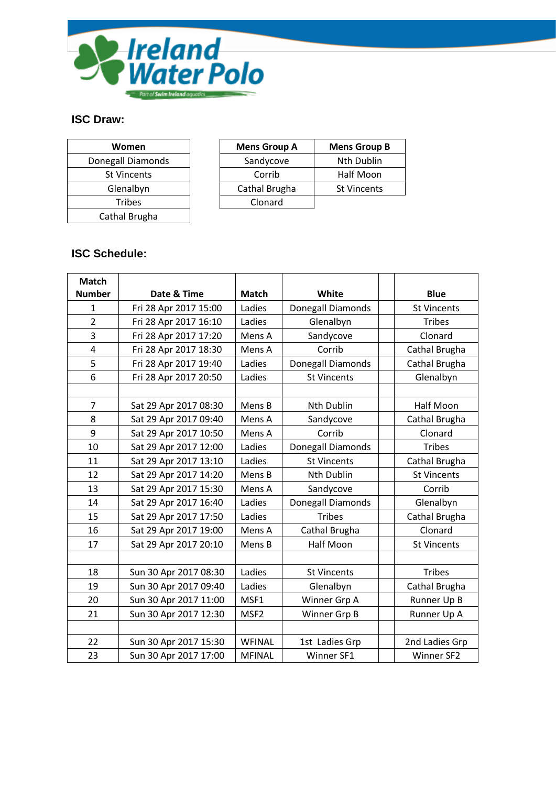

## **ISC Draw:**

| Women              | <b>Mens Grou</b> |
|--------------------|------------------|
| Donegall Diamonds  | Sandycov         |
| <b>St Vincents</b> | Corrib           |
| Glenalbyn          | Cathal Brug      |
| <b>Tribes</b>      | Clonard          |
| Cathal Brugha      |                  |

| <b>Women</b>       | <b>Mens Group A</b> | <b>Mens Group B</b> |
|--------------------|---------------------|---------------------|
| Donegall Diamonds  | Sandycove           | <b>Nth Dublin</b>   |
| <b>St Vincents</b> | Corrib              | Half Moon           |
| Glenalbyn          | Cathal Brugha       | <b>St Vincents</b>  |
| Tribes             | Clonard             |                     |

# **ISC Schedule:**

| <b>Match</b>   |                       |                  |                    |                    |
|----------------|-----------------------|------------------|--------------------|--------------------|
| <b>Number</b>  | Date & Time           | <b>Match</b>     | White              | <b>Blue</b>        |
| $\mathbf{1}$   | Fri 28 Apr 2017 15:00 | Ladies           | Donegall Diamonds  | <b>St Vincents</b> |
| $\overline{2}$ | Fri 28 Apr 2017 16:10 | Ladies           | Glenalbyn          | <b>Tribes</b>      |
| 3              | Fri 28 Apr 2017 17:20 | Mens A           | Sandycove          | Clonard            |
| 4              | Fri 28 Apr 2017 18:30 | Mens A           | Corrib             | Cathal Brugha      |
| 5              | Fri 28 Apr 2017 19:40 | Ladies           | Donegall Diamonds  | Cathal Brugha      |
| 6              | Fri 28 Apr 2017 20:50 | Ladies           | <b>St Vincents</b> | Glenalbyn          |
|                |                       |                  |                    |                    |
| $\overline{7}$ | Sat 29 Apr 2017 08:30 | Mens B           | <b>Nth Dublin</b>  | <b>Half Moon</b>   |
| 8              | Sat 29 Apr 2017 09:40 | Mens A           | Sandycove          | Cathal Brugha      |
| 9              | Sat 29 Apr 2017 10:50 | Mens A           | Corrib             | Clonard            |
| 10             | Sat 29 Apr 2017 12:00 | Ladies           | Donegall Diamonds  | <b>Tribes</b>      |
| 11             | Sat 29 Apr 2017 13:10 | Ladies           | <b>St Vincents</b> | Cathal Brugha      |
| 12             | Sat 29 Apr 2017 14:20 | Mens B           | <b>Nth Dublin</b>  | <b>St Vincents</b> |
| 13             | Sat 29 Apr 2017 15:30 | Mens A           | Sandycove          | Corrib             |
| 14             | Sat 29 Apr 2017 16:40 | Ladies           | Donegall Diamonds  | Glenalbyn          |
| 15             | Sat 29 Apr 2017 17:50 | Ladies           | <b>Tribes</b>      | Cathal Brugha      |
| 16             | Sat 29 Apr 2017 19:00 | Mens A           | Cathal Brugha      | Clonard            |
| 17             | Sat 29 Apr 2017 20:10 | Mens B           | <b>Half Moon</b>   | <b>St Vincents</b> |
|                |                       |                  |                    |                    |
| 18             | Sun 30 Apr 2017 08:30 | Ladies           | <b>St Vincents</b> | <b>Tribes</b>      |
| 19             | Sun 30 Apr 2017 09:40 | Ladies           | Glenalbyn          | Cathal Brugha      |
| 20             | Sun 30 Apr 2017 11:00 | MSF1             | Winner Grp A       | Runner Up B        |
| 21             | Sun 30 Apr 2017 12:30 | MSF <sub>2</sub> | Winner Grp B       | Runner Up A        |
|                |                       |                  |                    |                    |
| 22             | Sun 30 Apr 2017 15:30 | <b>WFINAL</b>    | 1st Ladies Grp     | 2nd Ladies Grp     |
| 23             | Sun 30 Apr 2017 17:00 | <b>MFINAL</b>    | Winner SF1         | Winner SF2         |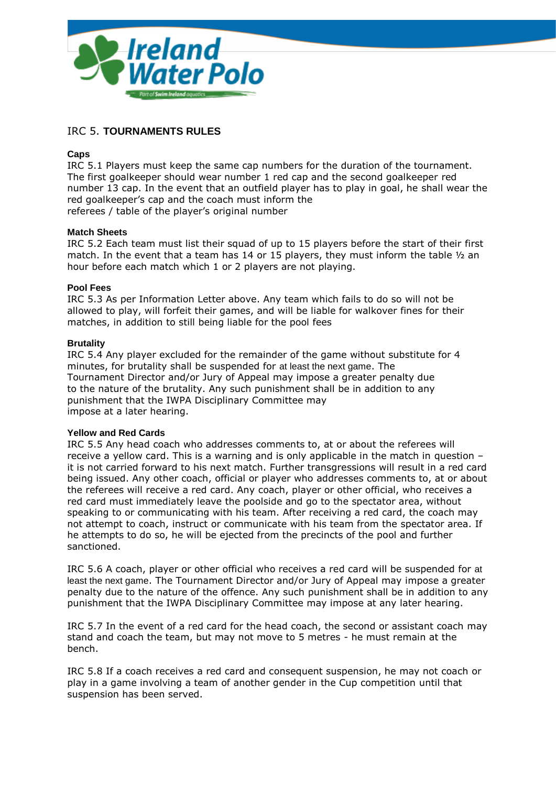

### IRC 5. **TOURNAMENTS RULES**

#### **Caps**

IRC 5.1 Players must keep the same cap numbers for the duration of the tournament. The first goalkeeper should wear number 1 red cap and the second goalkeeper red number 13 cap. In the event that an outfield player has to play in goal, he shall wear the red goalkeeper's cap and the coach must inform the referees / table of the player's original number

#### **Match Sheets**

IRC 5.2 Each team must list their squad of up to 15 players before the start of their first match. In the event that a team has 14 or 15 players, they must inform the table ½ an hour before each match which 1 or 2 players are not playing.

#### **Pool Fees**

IRC 5.3 As per Information Letter above. Any team which fails to do so will not be allowed to play, will forfeit their games, and will be liable for walkover fines for their matches, in addition to still being liable for the pool fees

#### **Brutality**

IRC 5.4 Any player excluded for the remainder of the game without substitute for 4 minutes, for brutality shall be suspended for at least the next game. The Tournament Director and/or Jury of Appeal may impose a greater penalty due to the nature of the brutality. Any such punishment shall be in addition to any punishment that the IWPA Disciplinary Committee may impose at a later hearing.

#### **Yellow and Red Cards**

IRC 5.5 Any head coach who addresses comments to, at or about the referees will receive a yellow card. This is a warning and is only applicable in the match in question – it is not carried forward to his next match. Further transgressions will result in a red card being issued. Any other coach, official or player who addresses comments to, at or about the referees will receive a red card. Any coach, player or other official, who receives a red card must immediately leave the poolside and go to the spectator area, without speaking to or communicating with his team. After receiving a red card, the coach may not attempt to coach, instruct or communicate with his team from the spectator area. If he attempts to do so, he will be ejected from the precincts of the pool and further sanctioned.

IRC 5.6 A coach, player or other official who receives a red card will be suspended for at least the next game. The Tournament Director and/or Jury of Appeal may impose a greater penalty due to the nature of the offence. Any such punishment shall be in addition to any punishment that the IWPA Disciplinary Committee may impose at any later hearing.

IRC 5.7 In the event of a red card for the head coach, the second or assistant coach may stand and coach the team, but may not move to 5 metres - he must remain at the bench.

IRC 5.8 If a coach receives a red card and consequent suspension, he may not coach or play in a game involving a team of another gender in the Cup competition until that suspension has been served.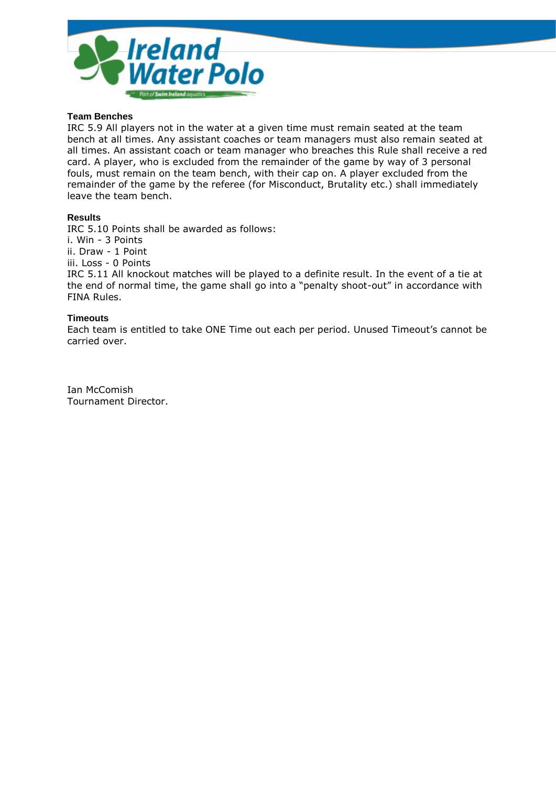

#### **Team Benches**

IRC 5.9 All players not in the water at a given time must remain seated at the team bench at all times. Any assistant coaches or team managers must also remain seated at all times. An assistant coach or team manager who breaches this Rule shall receive a red card. A player, who is excluded from the remainder of the game by way of 3 personal fouls, must remain on the team bench, with their cap on. A player excluded from the remainder of the game by the referee (for Misconduct, Brutality etc.) shall immediately leave the team bench.

#### **Results**

IRC 5.10 Points shall be awarded as follows:

i. Win - 3 Points

ii. Draw - 1 Point

iii. Loss - 0 Points

IRC 5.11 All knockout matches will be played to a definite result. In the event of a tie at the end of normal time, the game shall go into a "penalty shoot-out" in accordance with FINA Rules.

#### **Timeouts**

Each team is entitled to take ONE Time out each per period. Unused Timeout's cannot be carried over.

Ian McComish Tournament Director.